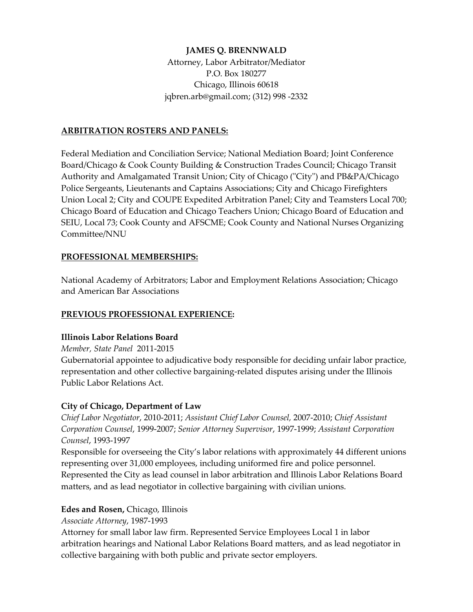## **JAMES Q. BRENNWALD**

Attorney, Labor Arbitrator/Mediator P.O. Box 180277 Chicago, Illinois 60618 jqbren.arb@gmail.com; (312) 998 -2332

## **ARBITRATION ROSTERS AND PANELS:**

Federal Mediation and Conciliation Service; National Mediation Board; Joint Conference Board/Chicago & Cook County Building & Construction Trades Council; Chicago Transit Authority and Amalgamated Transit Union; City of Chicago ("City") and PB&PA/Chicago Police Sergeants, Lieutenants and Captains Associations; City and Chicago Firefighters Union Local 2; City and COUPE Expedited Arbitration Panel; City and Teamsters Local 700; Chicago Board of Education and Chicago Teachers Union; Chicago Board of Education and SEIU, Local 73; Cook County and AFSCME; Cook County and National Nurses Organizing Committee/NNU

# **PROFESSIONAL MEMBERSHIPS:**

National Academy of Arbitrators; Labor and Employment Relations Association; Chicago and American Bar Associations

# **PREVIOUS PROFESSIONAL EXPERIENCE:**

#### **Illinois Labor Relations Board**

*Member, State Panel* 2011-2015

Gubernatorial appointee to adjudicative body responsible for deciding unfair labor practice, representation and other collective bargaining-related disputes arising under the Illinois Public Labor Relations Act.

#### **City of Chicago, Department of Law**

*Chief Labor Negotiator*, 2010-2011; *Assistant Chief Labor Counsel,* 2007-2010; *Chief Assistant Corporation Counsel*, 1999-2007; *Senior Attorney Supervisor*, 1997-1999; *Assistant Corporation Counsel*, 1993-1997

Responsible for overseeing the City's labor relations with approximately 44 different unions representing over 31,000 employees, including uniformed fire and police personnel. Represented the City as lead counsel in labor arbitration and Illinois Labor Relations Board matters, and as lead negotiator in collective bargaining with civilian unions.

#### **Edes and Rosen,** Chicago, Illinois

*Associate Attorney*, 1987-1993

Attorney for small labor law firm. Represented Service Employees Local 1 in labor arbitration hearings and National Labor Relations Board matters, and as lead negotiator in collective bargaining with both public and private sector employers.